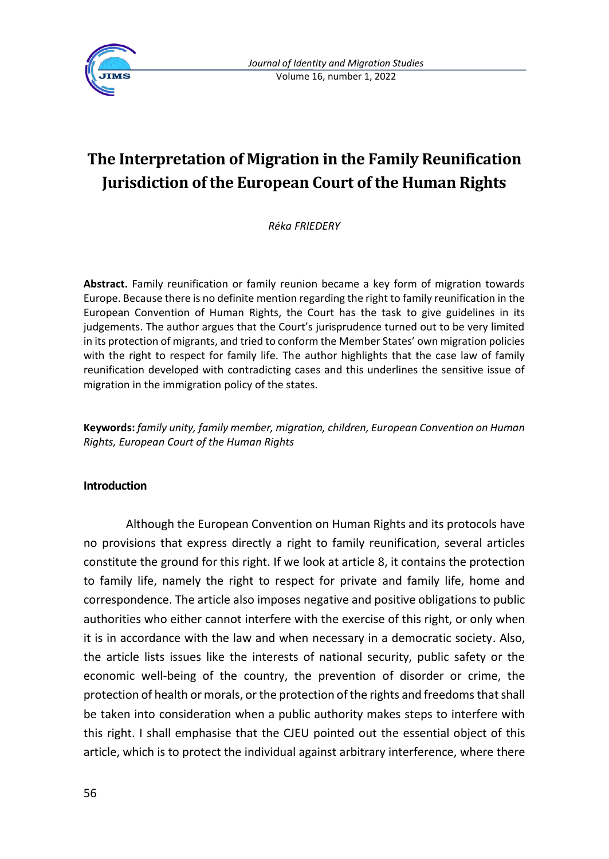

# **The Interpretation of Migration in the Family Reunification Jurisdiction of the European Court of the Human Rights**

*Réka FRIEDERY*

**Abstract.** Family reunification or family reunion became a key form of migration towards Europe. Because there is no definite mention regarding the right to family reunification in the European Convention of Human Rights, the Court has the task to give guidelines in its judgements. The author argues that the Court's jurisprudence turned out to be very limited in its protection of migrants, and tried to conform the Member States' own migration policies with the right to respect for family life. The author highlights that the case law of family reunification developed with contradicting cases and this underlines the sensitive issue of migration in the immigration policy of the states.

**Keywords:** *family unity, family member, migration, children, European Convention on Human Rights, European Court of the Human Rights*

### **Introduction**

Although the European Convention on Human Rights and its protocols have no provisions that express directly a right to family reunification, several articles constitute the ground for this right. If we look at article 8, it contains the protection to family life, namely the right to respect for private and family life, home and correspondence. The article also imposes negative and positive obligations to public authorities who either cannot interfere with the exercise of this right, or only when it is in accordance with the law and when necessary in a democratic society. Also, the article lists issues like the interests of national security, public safety or the economic well-being of the country, the prevention of disorder or crime, the protection of health or morals, or the protection of the rights and freedoms that shall be taken into consideration when a public authority makes steps to interfere with this right. I shall emphasise that the CJEU pointed out the essential object of this article, which is to protect the individual against arbitrary interference, where there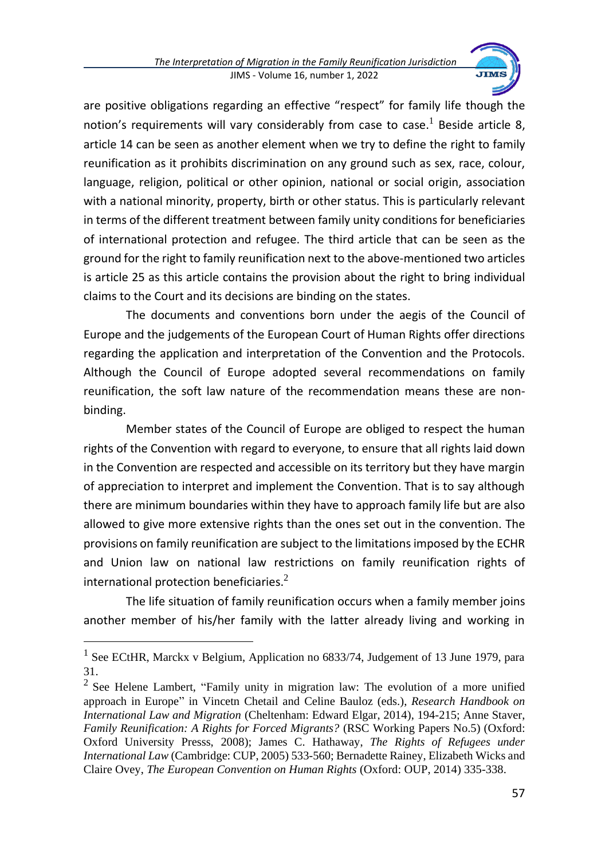

are positive obligations regarding an effective "respect" for family life though the notion's requirements will vary considerably from case to case.<sup>1</sup> Beside article 8, article 14 can be seen as another element when we try to define the right to family reunification as it prohibits discrimination on any ground such as sex, race, colour, language, religion, political or other opinion, national or social origin, association with a national minority, property, birth or other status. This is particularly relevant in terms of the different treatment between family unity conditions for beneficiaries of international protection and refugee. The third article that can be seen as the ground for the right to family reunification next to the above-mentioned two articles is article 25 as this article contains the provision about the right to bring individual claims to the Court and its decisions are binding on the states.

The documents and conventions born under the aegis of the Council of Europe and the judgements of the European Court of Human Rights offer directions regarding the application and interpretation of the Convention and the Protocols. Although the Council of Europe adopted several recommendations on family reunification, the soft law nature of the recommendation means these are nonbinding.

Member states of the Council of Europe are obliged to respect the human rights of the Convention with regard to everyone, to ensure that all rights laid down in the Convention are respected and accessible on its territory but they have margin of appreciation to interpret and implement the Convention. That is to say although there are minimum boundaries within they have to approach family life but are also allowed to give more extensive rights than the ones set out in the convention. The provisions on family reunification are subject to the limitations imposed by the ECHR and Union law on national law restrictions on family reunification rights of international protection beneficiaries. $2<sup>2</sup>$ 

The life situation of family reunification occurs when a family member joins another member of his/her family with the latter already living and working in

<sup>&</sup>lt;sup>1</sup> See ECtHR, Marckx v Belgium, Application no 6833/74, Judgement of 13 June 1979, para 31.

 $2$  See Helene Lambert, "Family unity in migration law: The evolution of a more unified approach in Europe" in Vincetn Chetail and Celine Bauloz (eds.), *Research Handbook on International Law and Migration* (Cheltenham: Edward Elgar, 2014), 194-215; Anne Staver, *Family Reunification: A Rights for Forced Migrants?* (RSC Working Papers No.5) (Oxford: Oxford University Presss, 2008); James C. Hathaway, *The Rights of Refugees under International Law* (Cambridge: CUP, 2005) 533-560; Bernadette Rainey, Elizabeth Wicks and Claire Ovey, *The European Convention on Human Rights* (Oxford: OUP, 2014) 335-338.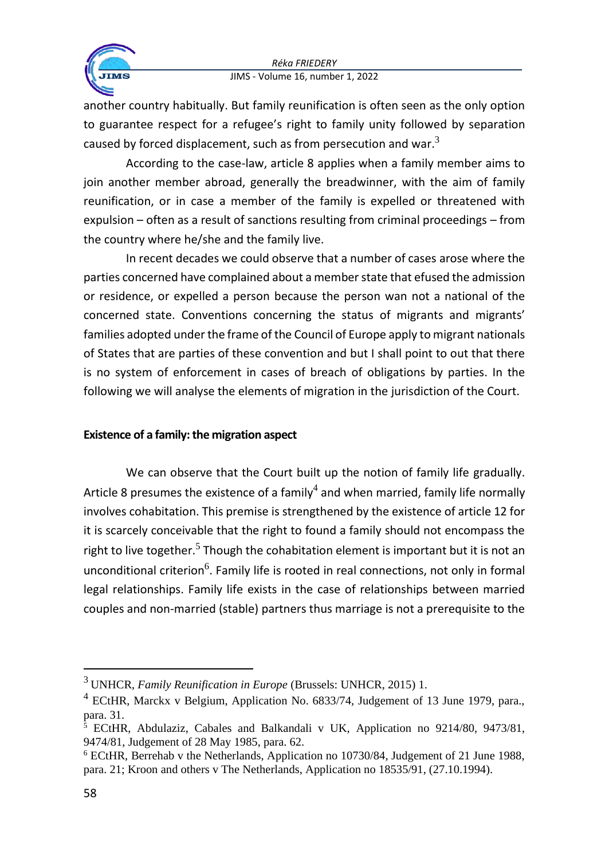

another country habitually. But family reunification is often seen as the only option to guarantee respect for a refugee's right to family unity followed by separation caused by forced displacement, such as from persecution and war. $3$ 

According to the case-law, article 8 applies when a family member aims to join another member abroad, generally the breadwinner, with the aim of family reunification, or in case a member of the family is expelled or threatened with expulsion – often as a result of sanctions resulting from criminal proceedings – from the country where he/she and the family live.

In recent decades we could observe that a number of cases arose where the parties concerned have complained about a member state that efused the admission or residence, or expelled a person because the person wan not a national of the concerned state. Conventions concerning the status of migrants and migrants' families adopted under the frame of the Council of Europe apply to migrant nationals of States that are parties of these convention and but I shall point to out that there is no system of enforcement in cases of breach of obligations by parties. In the following we will analyse the elements of migration in the jurisdiction of the Court.

### **Existence of a family: the migration aspect**

We can observe that the Court built up the notion of family life gradually. Article 8 presumes the existence of a family<sup>4</sup> and when married, family life normally involves cohabitation. This premise is strengthened by the existence of article 12 for it is scarcely conceivable that the right to found a family should not encompass the right to live together.<sup>5</sup> Though the cohabitation element is important but it is not an unconditional criterion<sup>6</sup>. Family life is rooted in real connections, not only in formal legal relationships. Family life exists in the case of relationships between married couples and non-married (stable) partners thus marriage is not a prerequisite to the

<sup>3</sup> UNHCR, *Family Reunification in Europe* (Brussels: UNHCR, 2015) 1.

 $4$  ECtHR, Marckx v Belgium, Application No. 6833/74, Judgement of 13 June 1979, para., para. 31.

<sup>&</sup>lt;sup>5</sup> ECtHR, Abdulaziz, Cabales and Balkandali v UK, Application no 9214/80, 9473/81, 9474/81, Judgement of 28 May 1985, para. 62.

<sup>6</sup> ECtHR, Berrehab v the Netherlands, Application no 10730/84, Judgement of 21 June 1988, para. 21; Kroon and others v The Netherlands, Application no 18535/91, (27.10.1994).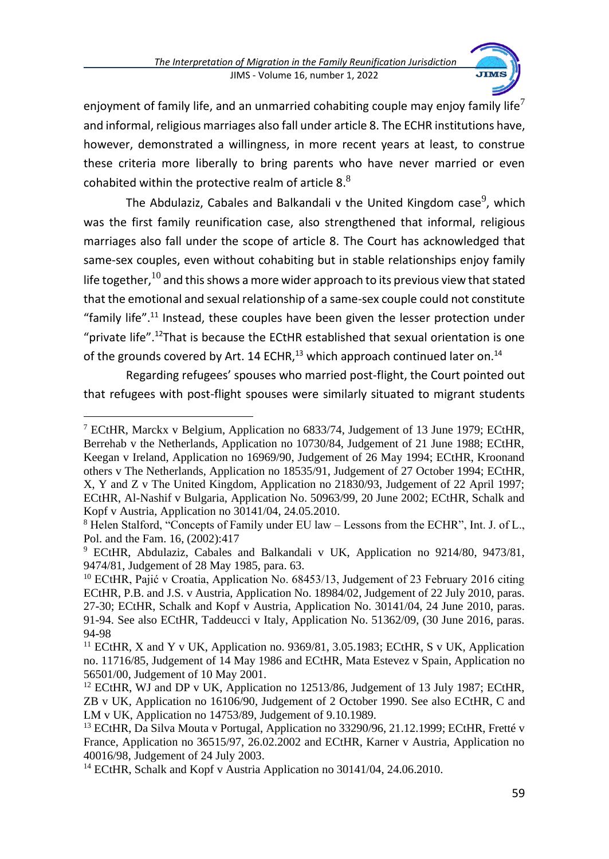

enjoyment of family life, and an unmarried cohabiting couple may enjoy family life<sup>7</sup> and informal, religious marriages also fall under article 8. The ECHR institutions have, however, demonstrated a willingness, in more recent years at least, to construe these criteria more liberally to bring parents who have never married or even cohabited within the protective realm of article 8. $8$ 

The Abdulaziz, Cabales and Balkandali v the United Kingdom case<sup>9</sup>, which was the first family reunification case, also strengthened that informal, religious marriages also fall under the scope of article 8. The Court has acknowledged that same-sex couples, even without cohabiting but in stable relationships enjoy family life together,  $^{10}$  and this shows a more wider approach to its previous view that stated that the emotional and sexual relationship of a same-sex couple could not constitute "family life".<sup>11</sup> Instead, these couples have been given the lesser protection under "private life".<sup>12</sup>That is because the ECtHR established that sexual orientation is one of the grounds covered by Art. 14 ECHR, $^{13}$  which approach continued later on.<sup>14</sup>

Regarding refugees' spouses who married post-flight, the Court pointed out that refugees with post-flight spouses were similarly situated to migrant students

<sup>7</sup> ECtHR, Marckx v Belgium, Application no 6833/74, Judgement of 13 June 1979; ECtHR, Berrehab v the Netherlands, Application no 10730/84, Judgement of 21 June 1988; ECtHR, Keegan v Ireland, Application no 16969/90, Judgement of 26 May 1994; ECtHR, Kroonand others v The Netherlands, Application no 18535/91, Judgement of 27 October 1994; ECtHR, X, Y and Z v The United Kingdom, Application no 21830/93, Judgement of 22 April 1997; ECtHR, Al-Nashif v Bulgaria, Application No. 50963/99, 20 June 2002; ECtHR, Schalk and Kopf v Austria, Application no 30141/04, 24.05.2010.

<sup>8</sup> Helen Stalford, "Concepts of Family under EU law – Lessons from the ECHR", Int. J. of L., Pol. and the Fam. 16, (2002):417

<sup>9</sup> ECtHR, Abdulaziz, Cabales and Balkandali v UK, Application no 9214/80, 9473/81, 9474/81, Judgement of 28 May 1985, para. 63.

<sup>&</sup>lt;sup>10</sup> ECtHR, Pajić v Croatia, Application No. 68453/13, Judgement of 23 February 2016 citing ECtHR, P.B. and J.S. v Austria, Application No. 18984/02, Judgement of 22 July 2010, paras. 27-30; ECtHR, Schalk and Kopf v Austria, Application No. 30141/04, 24 June 2010, paras. 91-94. See also ECtHR, Taddeucci v Italy, Application No. 51362/09, (30 June 2016, paras. 94-98

<sup>&</sup>lt;sup>11</sup> ECtHR, X and Y v UK, Application no. 9369/81, 3.05.1983; ECtHR, S v UK, Application no. 11716/85, Judgement of 14 May 1986 and ECtHR, Mata Estevez v Spain, Application no 56501/00, Judgement of 10 May 2001.

<sup>&</sup>lt;sup>12</sup> ECtHR, WJ and DP v UK, Application no 12513/86, Judgement of 13 July 1987; ECtHR, ZB v UK, Application no 16106/90, Judgement of 2 October 1990. See also ECtHR, C and LM v UK, Application no 14753/89, Judgement of 9.10.1989.

<sup>&</sup>lt;sup>13</sup> ECtHR, Da Silva Mouta v Portugal, Application no 33290/96, 21.12.1999; ECtHR, Fretté v France, Application no 36515/97, 26.02.2002 and ECtHR, Karner v Austria, Application no 40016/98, Judgement of 24 July 2003.

<sup>&</sup>lt;sup>14</sup> ECtHR, Schalk and Kopf v Austria Application no 30141/04, 24.06.2010.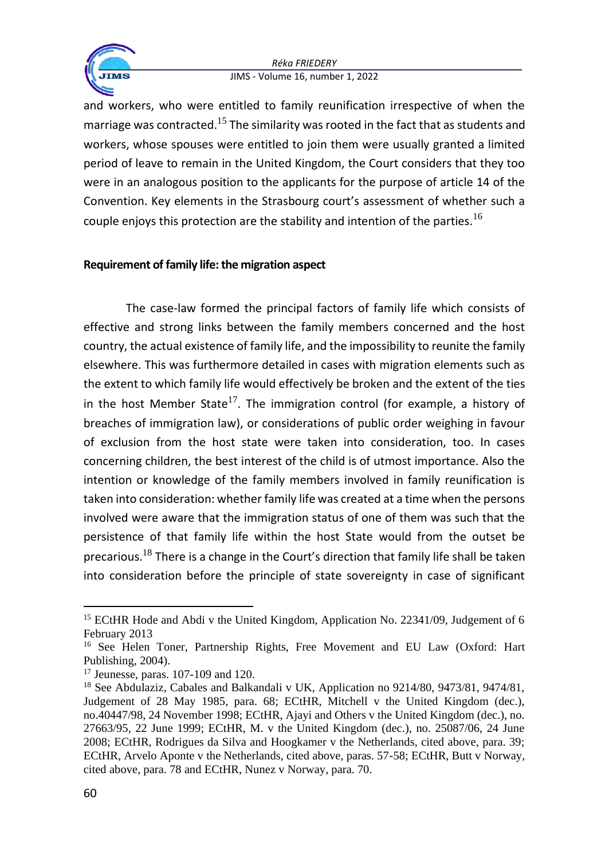

and workers, who were entitled to family reunification irrespective of when the marriage was contracted.<sup>15</sup> The similarity was rooted in the fact that as students and workers, whose spouses were entitled to join them were usually granted a limited period of leave to remain in the United Kingdom, the Court considers that they too were in an analogous position to the applicants for the purpose of article 14 of the Convention. Key elements in the Strasbourg court's assessment of whether such a couple enjoys this protection are the stability and intention of the parties.<sup>16</sup>

## **Requirement of family life: the migration aspect**

The case-law formed the principal factors of family life which consists of effective and strong links between the family members concerned and the host country, the actual existence of family life, and the impossibility to reunite the family elsewhere. This was furthermore detailed in cases with migration elements such as the extent to which family life would effectively be broken and the extent of the ties in the host Member State<sup>17</sup>. The immigration control (for example, a history of breaches of immigration law), or considerations of public order weighing in favour of exclusion from the host state were taken into consideration, too. In cases concerning children, the best interest of the child is of utmost importance. Also the intention or knowledge of the family members involved in family reunification is taken into consideration: whether family life was created at a time when the persons involved were aware that the immigration status of one of them was such that the persistence of that family life within the host State would from the outset be precarious.<sup>18</sup> There is a change in the Court's direction that family life shall be taken into consideration before the principle of state sovereignty in case of significant

<sup>&</sup>lt;sup>15</sup> ECtHR Hode and Abdi v the United Kingdom, Application No. 22341/09, Judgement of 6 February 2013

<sup>&</sup>lt;sup>16</sup> See Helen Toner, Partnership Rights, Free Movement and EU Law (Oxford: Hart Publishing, 2004).

<sup>17</sup> Jeunesse, paras. 107-109 and 120.

<sup>&</sup>lt;sup>18</sup> See Abdulaziz, Cabales and Balkandali v UK, Application no 9214/80, 9473/81, 9474/81, Judgement of 28 May 1985, para. 68; ECtHR, Mitchell v the United Kingdom (dec.), no.40447/98, 24 November 1998; ECtHR, Ajayi and Others v the United Kingdom (dec.), no. 27663/95, 22 June 1999; ECtHR, M. v the United Kingdom (dec.), no. 25087/06, 24 June 2008; ECtHR, Rodrigues da Silva and Hoogkamer v the Netherlands, cited above, para. 39; ECtHR, Arvelo Aponte v the Netherlands, cited above, paras. 57-58; ECtHR, Butt v Norway, cited above, para. 78 and ECtHR, Nunez v Norway, para. 70.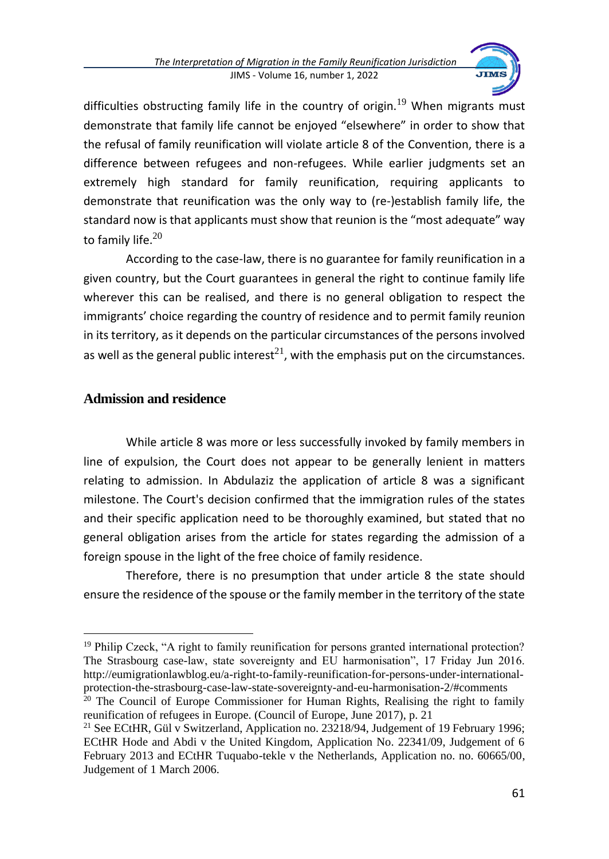

difficulties obstructing family life in the country of origin.<sup>19</sup> When migrants must demonstrate that family life cannot be enjoyed "elsewhere" in order to show that the refusal of family reunification will violate article 8 of the Convention, there is a difference between refugees and non-refugees. While earlier judgments set an extremely high standard for family reunification, requiring applicants to demonstrate that reunification was the only way to (re-)establish family life, the standard now is that applicants must show that reunion is the "most adequate" way to family life. $20$ 

According to the case-law, there is no guarantee for family reunification in a given country, but the Court guarantees in general the right to continue family life wherever this can be realised, and there is no general obligation to respect the immigrants' choice regarding the country of residence and to permit family reunion in its territory, as it depends on the particular circumstances of the persons involved as well as the general public interest<sup>21</sup>, with the emphasis put on the circumstances.

# **Admission and residence**

While article 8 was more or less successfully invoked by family members in line of expulsion, the Court does not appear to be generally lenient in matters relating to admission. In Abdulaziz the application of article 8 was a significant milestone. The Court's decision confirmed that the immigration rules of the states and their specific application need to be thoroughly examined, but stated that no general obligation arises from the article for states regarding the admission of a foreign spouse in the light of the free choice of family residence.

Therefore, there is no presumption that under article 8 the state should ensure the residence of the spouse or the family member in the territory of the state

<sup>&</sup>lt;sup>19</sup> Philip Czeck, "A right to family reunification for persons granted international protection? The Strasbourg case-law, state sovereignty and EU harmonisation", 17 Friday Jun 2016. http://eumigrationlawblog.eu/a-right-to-family-reunification-for-persons-under-internationalprotection-the-strasbourg-case-law-state-sovereignty-and-eu-harmonisation-2/#comments

<sup>&</sup>lt;sup>20</sup> The Council of Europe Commissioner for Human Rights, Realising the right to family reunification of refugees in Europe. (Council of Europe, June 2017), p. 21

<sup>&</sup>lt;sup>21</sup> See ECtHR, Gül v Switzerland, Application no. 23218/94, Judgement of 19 February 1996; ECtHR Hode and Abdi v the United Kingdom, Application No. 22341/09, Judgement of 6 February 2013 and ECtHR Tuquabo-tekle v the Netherlands, Application no. no. 60665/00, Judgement of 1 March 2006.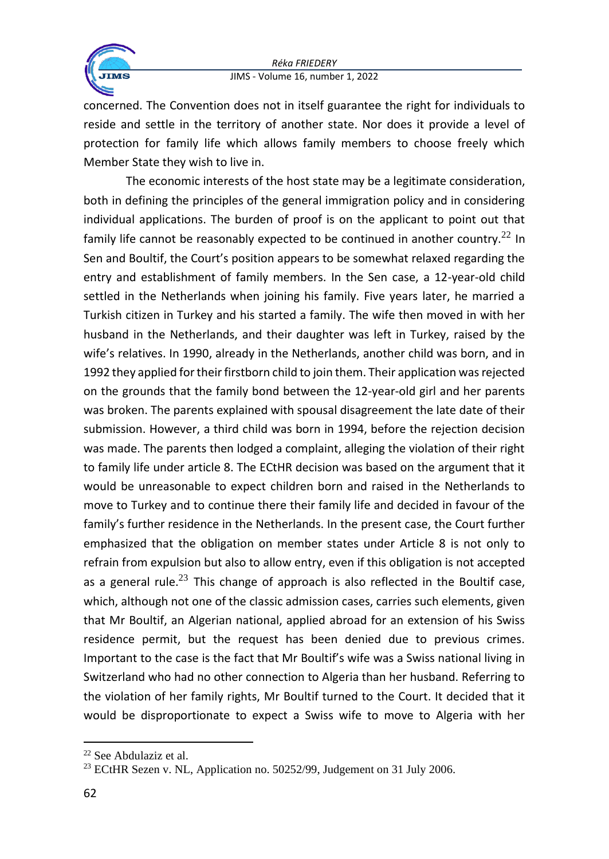

concerned. The Convention does not in itself guarantee the right for individuals to reside and settle in the territory of another state. Nor does it provide a level of protection for family life which allows family members to choose freely which Member State they wish to live in.

The economic interests of the host state may be a legitimate consideration, both in defining the principles of the general immigration policy and in considering individual applications. The burden of proof is on the applicant to point out that family life cannot be reasonably expected to be continued in another country.<sup>22</sup> In Sen and Boultif, the Court's position appears to be somewhat relaxed regarding the entry and establishment of family members. In the Sen case, a 12-year-old child settled in the Netherlands when joining his family. Five years later, he married a Turkish citizen in Turkey and his started a family. The wife then moved in with her husband in the Netherlands, and their daughter was left in Turkey, raised by the wife's relatives. In 1990, already in the Netherlands, another child was born, and in 1992 they applied for their firstborn child to join them. Their application was rejected on the grounds that the family bond between the 12-year-old girl and her parents was broken. The parents explained with spousal disagreement the late date of their submission. However, a third child was born in 1994, before the rejection decision was made. The parents then lodged a complaint, alleging the violation of their right to family life under article 8. The ECtHR decision was based on the argument that it would be unreasonable to expect children born and raised in the Netherlands to move to Turkey and to continue there their family life and decided in favour of the family's further residence in the Netherlands. In the present case, the Court further emphasized that the obligation on member states under Article 8 is not only to refrain from expulsion but also to allow entry, even if this obligation is not accepted as a general rule.<sup>23</sup> This change of approach is also reflected in the Boultif case, which, although not one of the classic admission cases, carries such elements, given that Mr Boultif, an Algerian national, applied abroad for an extension of his Swiss residence permit, but the request has been denied due to previous crimes. Important to the case is the fact that Mr Boultif's wife was a Swiss national living in Switzerland who had no other connection to Algeria than her husband. Referring to the violation of her family rights, Mr Boultif turned to the Court. It decided that it would be disproportionate to expect a Swiss wife to move to Algeria with her

<sup>22</sup> See Abdulaziz et al.

<sup>&</sup>lt;sup>23</sup> ECtHR Sezen v. NL, Application no. 50252/99, Judgement on 31 July 2006.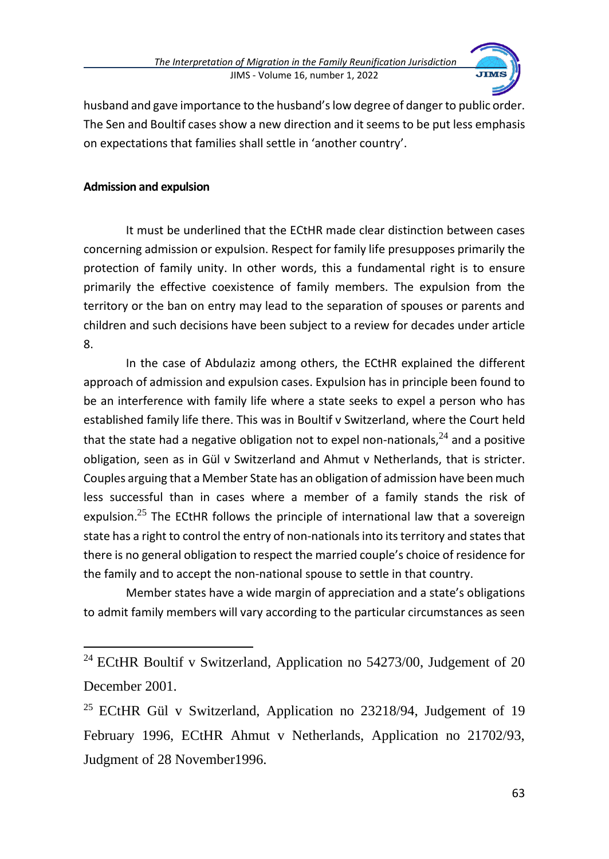

husband and gave importance to the husband's low degree of danger to public order. The Sen and Boultif cases show a new direction and it seems to be put less emphasis on expectations that families shall settle in 'another country'.

### **Admission and expulsion**

It must be underlined that the ECtHR made clear distinction between cases concerning admission or expulsion. Respect for family life presupposes primarily the protection of family unity. In other words, this a fundamental right is to ensure primarily the effective coexistence of family members. The expulsion from the territory or the ban on entry may lead to the separation of spouses or parents and children and such decisions have been subject to a review for decades under article 8.

In the case of Abdulaziz among others, the ECtHR explained the different approach of admission and expulsion cases. Expulsion has in principle been found to be an interference with family life where a state seeks to expel a person who has established family life there. This was in Boultif v Switzerland, where the Court held that the state had a negative obligation not to expel non-nationals.<sup>24</sup> and a positive obligation, seen as in Gül v Switzerland and Ahmut v Netherlands, that is stricter. Couples arguing that a Member State has an obligation of admission have been much less successful than in cases where a member of a family stands the risk of expulsion.<sup>25</sup> The ECtHR follows the principle of international law that a sovereign state has a right to control the entry of non-nationals into its territory and states that there is no general obligation to respect the married couple's choice of residence for the family and to accept the non-national spouse to settle in that country.

Member states have a wide margin of appreciation and a state's obligations to admit family members will vary according to the particular circumstances as seen

<sup>&</sup>lt;sup>24</sup> ECtHR Boultif v Switzerland, Application no 54273/00, Judgement of 20 December 2001.

<sup>&</sup>lt;sup>25</sup> ECtHR Gül v Switzerland, Application no 23218/94, Judgement of 19 February 1996, ECtHR Ahmut v Netherlands, Application no 21702/93, Judgment of 28 November1996.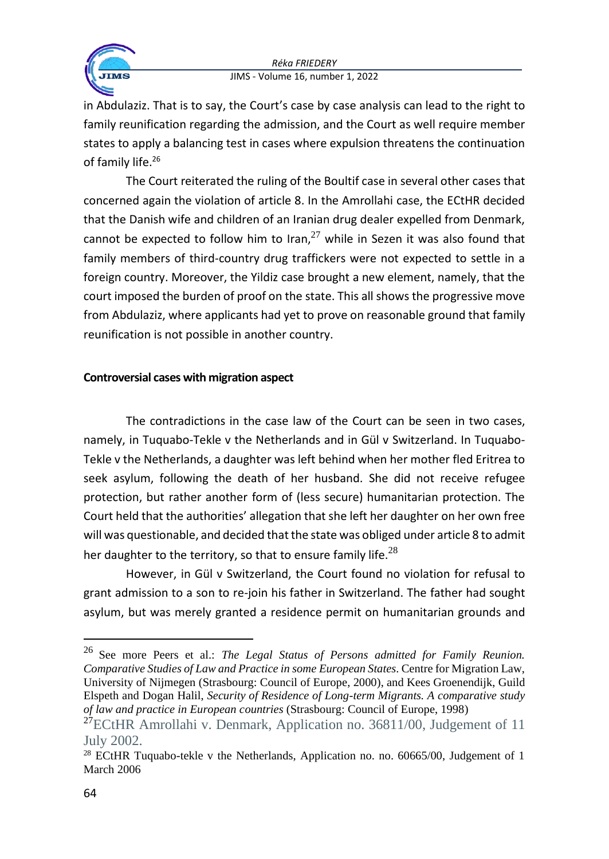

in Abdulaziz. That is to say, the Court's case by case analysis can lead to the right to family reunification regarding the admission, and the Court as well require member states to apply a balancing test in cases where expulsion threatens the continuation of family life.<sup>26</sup>

The Court reiterated the ruling of the Boultif case in several other cases that concerned again the violation of article 8. In the Amrollahi case, the ECtHR decided that the Danish wife and children of an Iranian drug dealer expelled from Denmark, cannot be expected to follow him to Iran,  $27$  while in Sezen it was also found that family members of third-country drug traffickers were not expected to settle in a foreign country. Moreover, the Yildiz case brought a new element, namely, that the court imposed the burden of proof on the state. This all shows the progressive move from Abdulaziz, where applicants had yet to prove on reasonable ground that family reunification is not possible in another country.

## **Controversial cases with migration aspect**

The contradictions in the case law of the Court can be seen in two cases, namely, in Tuquabo-Tekle v the Netherlands and in Gül v Switzerland. In Tuquabo-Tekle v the Netherlands, a daughter was left behind when her mother fled Eritrea to seek asylum, following the death of her husband. She did not receive refugee protection, but rather another form of (less secure) humanitarian protection. The Court held that the authorities' allegation that she left her daughter on her own free will was questionable, and decided that the state was obliged under article 8 to admit her daughter to the territory, so that to ensure family life.<sup>28</sup>

However, in Gül v Switzerland, the Court found no violation for refusal to grant admission to a son to re-join his father in Switzerland. The father had sought asylum, but was merely granted a residence permit on humanitarian grounds and

<sup>26</sup> See more Peers et al.: *The Legal Status of Persons admitted for Family Reunion. Comparative Studies of Law and Practice in some European States*. Centre for Migration Law, University of Nijmegen (Strasbourg: Council of Europe, 2000), and Kees Groenendijk, Guild Elspeth and Dogan Halil, *Security of Residence of Long-term Migrants. A comparative study of law and practice in European countries* (Strasbourg: Council of Europe, 1998)

 $27$ ECtHR Amrollahi v. Denmark, Application no. 36811/00, Judgement of 11 July 2002.

<sup>&</sup>lt;sup>28</sup> ECtHR Tuquabo-tekle v the Netherlands, Application no. no. 60665/00, Judgement of 1 March 2006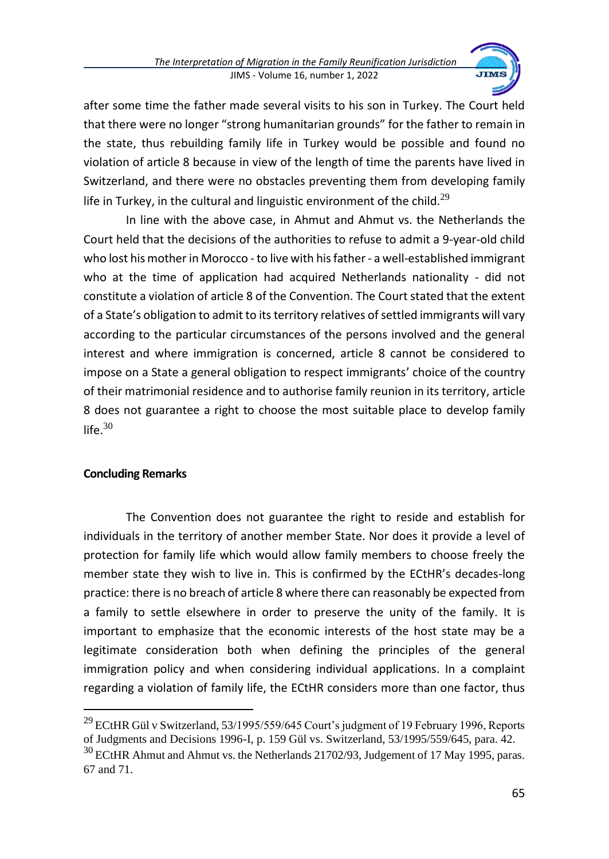

after some time the father made several visits to his son in Turkey. The Court held that there were no longer "strong humanitarian grounds" for the father to remain in the state, thus rebuilding family life in Turkey would be possible and found no violation of article 8 because in view of the length of time the parents have lived in Switzerland, and there were no obstacles preventing them from developing family life in Turkey, in the cultural and linguistic environment of the child.<sup>29</sup>

In line with the above case, in Ahmut and Ahmut vs. the Netherlands the Court held that the decisions of the authorities to refuse to admit a 9-year-old child who lost his mother in Morocco - to live with his father - a well-established immigrant who at the time of application had acquired Netherlands nationality - did not constitute a violation of article 8 of the Convention. The Court stated that the extent of a State's obligation to admit to its territory relatives of settled immigrants will vary according to the particular circumstances of the persons involved and the general interest and where immigration is concerned, article 8 cannot be considered to impose on a State a general obligation to respect immigrants' choice of the country of their matrimonial residence and to authorise family reunion in its territory, article 8 does not guarantee a right to choose the most suitable place to develop family life. $30$ 

### **Concluding Remarks**

The Convention does not guarantee the right to reside and establish for individuals in the territory of another member State. Nor does it provide a level of protection for family life which would allow family members to choose freely the member state they wish to live in. This is confirmed by the ECtHR's decades-long practice: there is no breach of article 8 where there can reasonably be expected from a family to settle elsewhere in order to preserve the unity of the family. It is important to emphasize that the economic interests of the host state may be a legitimate consideration both when defining the principles of the general immigration policy and when considering individual applications. In a complaint regarding a violation of family life, the ECtHR considers more than one factor, thus

<sup>&</sup>lt;sup>29</sup> ECtHR Gül v Switzerland, 53/1995/559/645 Court's judgment of 19 February 1996, Reports of Judgments and Decisions 1996-I, p. 159 Gül vs. Switzerland, 53/1995/559/645, para. 42.

 $30$  ECtHR Ahmut and Ahmut vs. the Netherlands 21702/93, Judgement of 17 May 1995, paras. 67 and 71.